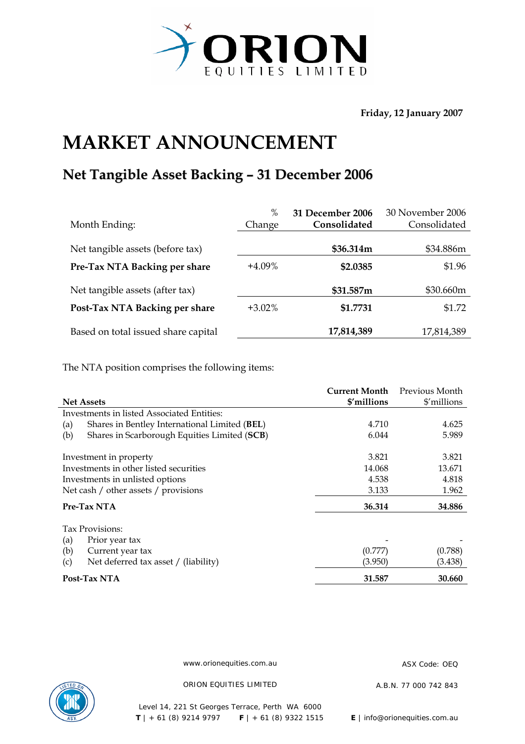

**Friday, 12 January 2007** 

## **MARKET ANNOUNCEMENT**

## **Net Tangible Asset Backing – 31 December 2006**

| Month Ending:                       | $\%$<br>Change | 31 December 2006<br>Consolidated | 30 November 2006<br>Consolidated |
|-------------------------------------|----------------|----------------------------------|----------------------------------|
| Net tangible assets (before tax)    |                | \$36.314m                        | \$34.886m                        |
| Pre-Tax NTA Backing per share       | $+4.09\%$      | \$2.0385                         | \$1.96                           |
| Net tangible assets (after tax)     |                | \$31.587m                        | \$30.660m                        |
| Post-Tax NTA Backing per share      | $+3.02\%$      | \$1.7731                         | \$1.72                           |
| Based on total issued share capital |                | 17,814,389                       | 17,814,389                       |

The NTA position comprises the following items:

|                                                      | <b>Current Month</b> | Previous Month |
|------------------------------------------------------|----------------------|----------------|
| <b>Net Assets</b>                                    | \$'millions          | \$'millions    |
| Investments in listed Associated Entities:           |                      |                |
| Shares in Bentley International Limited (BEL)<br>(a) | 4.710                | 4.625          |
| Shares in Scarborough Equities Limited (SCB)<br>(b)  | 6.044                | 5.989          |
| Investment in property                               | 3.821                | 3.821          |
| Investments in other listed securities               | 14.068               | 13.671         |
| Investments in unlisted options                      | 4.538                | 4.818          |
| Net cash / other assets / provisions                 | 3.133                | 1.962          |
| Pre-Tax NTA                                          | 36.314               | 34.886         |
| Tax Provisions:                                      |                      |                |
| (a)<br>Prior year tax                                |                      |                |
| (b)<br>Current year tax                              | (0.777)              | (0.788)        |
| Net deferred tax asset / (liability)<br>(c)          | (3.950)              | (3.438)        |
| Post-Tax NTA                                         | 31.587               | 30.660         |

www.orionequities.com.au ASX Code: OEQ



ORION EQUITIES LIMITED A.B.N. 77 000 742 843

Level 14, 221 St Georges Terrace, Perth WA 6000  **T** | + 61 (8) 9214 9797 **F** | + 61 (8) 9322 1515 **E** | info@orionequities.com.au